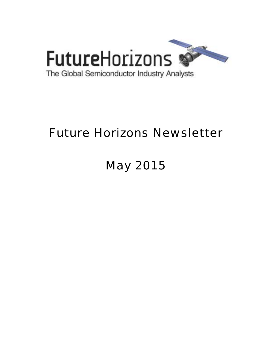

# Future Horizons Newsletter

# May 2015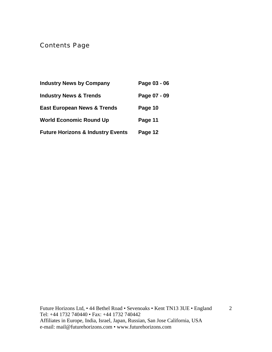Contents Page

| <b>Industry News by Company</b>              | Page 03 - 06 |
|----------------------------------------------|--------------|
| <b>Industry News &amp; Trends</b>            | Page 07 - 09 |
| <b>East European News &amp; Trends</b>       | Page 10      |
| <b>World Economic Round Up</b>               | Page 11      |
| <b>Future Horizons &amp; Industry Events</b> | Page 12      |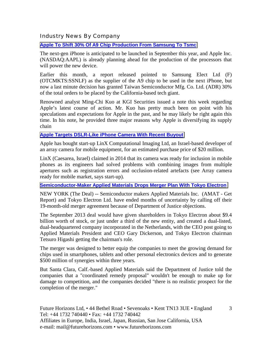Industry News By Company

**[Apple To Shift 30% Of A9 Chip Production From Samsung To Tsmc](http://www.bidnessetc.com/40136-apple-inc-to-shift-30-of-a9-chip-production-from-samsung-to-tsmc/)**

The next-gen iPhone is anticipated to be launched in September this year, and Apple Inc. (NASDAQ:AAPL) is already planning ahead for the production of the processors that will power the new device.

Earlier this month, a report released pointed to Samsung Elect Ltd (F) (OTCMKTS:SSNLF) as the supplier of the A9 chip to be used in the next iPhone, but now a last minute decision has granted Taiwan Semiconductor Mfg. Co. Ltd. (ADR) 30% of the total orders to be placed by the California-based tech giant.

Renowned analyst Ming-Chi Kuo at KGI Securities issued a note this week regarding Apple's latest course of action. Mr. Kuo has pretty much been on point with his speculations and expectations for Apple in the past, and he may likely be right again this time. In his note, he provided three major reasons why Apple is diversifying its supply chain

#### **[Apple Targets DSLR-Like iPhone Camera With Recent Buyout](http://www.eetindia.co.in/ART_8800711624_1800007_NT_aeed613a.HTM)**

Apple has bought start-up LinX Computational Imaging Ltd, an Israel-based developer of an array camera for mobile equipment, for an estimated purchase price of \$20 million.

LinX (Caesarea, Israel) claimed in 2014 that its camera was ready for inclusion in mobile phones as its engineers had solved problems with combining images from multiple apertures such as registration errors and occlusion-related artefacts (see Array camera ready for mobile market, says start-up).

**[Semiconductor-Maker Applied Materials Drops Merger Plan With Tokyo Electron](http://www.thestreet.com/story/13127413/1/semiconductor-maker-applied-materials-drops-merger-plan-with-tokyo-electron.html)**

NEW YORK (The Deal) -- Semiconductor makers Applied Materials Inc. (AMAT - Get Report) and Tokyo Electron Ltd. have ended months of uncertainty by calling off their 19-month-old merger agreement because of Department of Justice objections.

The September 2013 deal would have given shareholders in Tokyo Electron about \$9.4 billion worth of stock, or just under a third of the new entity, and created a dual-listed, dual-headquartered company incorporated in the Netherlands, with the CEO post going to Applied Materials President and CEO Gary Dickerson, and Tokyo Electron chairman Tetsuro Higashi getting the chairman's role.

The merger was designed to better equip the companies to meet the growing demand for chips used in smartphones, tablets and other personal electronics devices and to generate \$500 million of synergies within three years.

But Santa Clara, Calf.-based Applied Materials said the Department of Justice told the companies that a "coordinated remedy proposal" wouldn't be enough to make up for damage to competition, and the companies decided "there is no realistic prospect for the completion of the merger."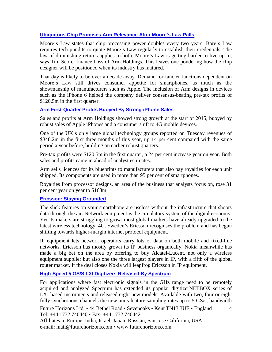#### **[Ubiquitous Chip Promises Arm Relevance After Moore's Law Palls](http://www.ft.com/cms/s/0/c30969e4-e802-11e4-894a-00144feab7de.html?ftcamp=crm/email/2015422/nbe/UKBusiness/product&siteedition=uk#axzz3YURMxNYi)**

Moore's Law states that chip processing power doubles every two years. Bore's Law requires tech pundits to quote Moore's Law regularly to establish their credentials. The law of diminishing returns applies to both. Moore's Law is getting harder to live up to, says Tim Score, finance boss of Arm Holdings. This leaves one pondering how the chip designer will be positioned when its industry has matured.

That day is likely to be over a decade away. Demand for fancier functions dependent on Moore's Law still drives consumer appetite for smartphones, as much as the showmanship of manufacturers such as Apple. The inclusion of Arm designs in devices such as the iPhone 6 helped the company deliver consensus-beating pre-tax profits of \$120.5m in the first quarter.

#### **[Arm First-Quarter Profits Buoyed By Strong iPhone Sales](http://www.ft.com/cms/s/0/658529e4-e7f2-11e4-9960-00144feab7de.html?ftcamp=crm/email/2015422/nbe/UKBusiness/product&siteedition=uk#axzz3YURMxNYi)**

Sales and profits at Arm Holdings showed strong growth at the start of 2015, buoyed by robust sales of Apple iPhones and a consumer shift to 4G mobile devices.

One of the UK's only large global technology groups reported on Tuesday revenues of \$348.2m in the first three months of this year, up 14 per cent compared with the same period a year before, building on earlier robust quarters.

Pre-tax profits were \$120.5m in the first quarter, a 24 per cent increase year on year. Both sales and profits came in ahead of analyst estimates.

Arm sells licences for its blueprints to manufacturers that also pay royalties for each unit shipped. Its components are used in more than 95 per cent of smartphones.

Royalties from processor designs, an area of the business that analysts focus on, rose 31 per cent year on year to \$168m.

#### **[Ericsson: Staying Grounded](http://www.ft.com/cms/s/3/da5341e0-e9c1-11e4-b863-00144feab7de.html?ftcamp=crm/email/2015424/nbe/EuropeBusiness/product&siteedition=uk#axzz3YURMxNYi)**

The slick features on your smartphone are useless without the infrastructure that shoots data through the air. Network equipment is the circulatory system of the digital economy. Yet its makers are struggling to grow: most global markets have already upgraded to the latest wireless technology, 4G. Sweden's Ericsson recognises the problem and has begun shifting towards higher-margin internet protocol equipment.

IP equipment lets network operators carry lots of data on both mobile and fixed-line networks. Ericsson has mostly grown its IP business organically. Nokia meanwhile has made a big bet on the area by offering to buy Alcatel-Lucent, not only a wireless equipment supplier but also one the three largest players in IP, with a fifth of the global router market. If the deal closes Nokia will leapfrog Ericsson in IP equipment.

#### **[High-Speed 5 GS/S LXI Digitizers Released By Spectrum](http://spectrum-instrumentation.com/en/high-speed-5-gss-lxi-digitizers-released-spectrum)**

For applications where fast electronic signals in the GHz range need to be remotely acquired and analyzed Spectrum has extended its popular digitizerNETBOX series of LXI based instruments and released eight new models. Available with two, four or eight fully synchronous channels the new units feature sampling rates up to 5 GS/s, bandwidth

Future Horizons Ltd, • 44 Bethel Road • Sevenoaks • Kent TN13 3UE • England Tel: +44 1732 740440 • Fax: +44 1732 740442

4

Affiliates in Europe, India, Israel, Japan, Russian, San Jose California, USA e-mail: mail@futurehorizons.com • www.futurehorizons.com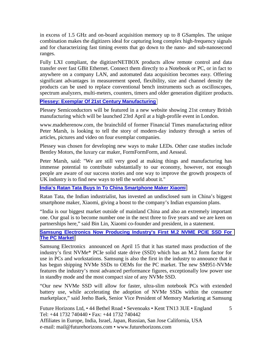in excess of 1.5 GHz and on-board acquisition memory up to 8 GSamples. The unique combination makes the digitizers ideal for capturing long complex high-frequency signals and for characterizing fast timing events that go down to the nano- and sub-nanosecond ranges.

Fully LXI compliant, the digitizerNETBOX products allow remote control and data transfer over fast GBit Ethernet. Connect them directly to a Notebook or PC, or in fact to anywhere on a company LAN, and automated data acquisition becomes easy. Offering significant advantages in measurement speed, flexibility, size and channel density the products can be used to replace conventional bench instruments such as oscilloscopes, spectrum analyzers, multi-meters, counters, timers and older generation digitizer products.

#### **[Plessey: Exemplar Of 21st Century Manufacturing](http://www.compoundsemiconductor.net/article/96851-plessey-exemplar-of-21st-century-manufacturing.html)**

Plessey Semiconductors will be featured in a new website showing 21st century British manufacturing which will be launched 23rd April at a high-profile event in London.

www.madeherenow.com, the brainchild of former Financial Times manufacturing editor Peter Marsh, is looking to tell the story of modern-day industry through a series of articles, pictures and video on four exemplar companies.

Plessey was chosen for developing new ways to make LEDs. Other case studies include Bentley Motors, the luxury car maker, FormFormForm, and Aesseal.

Peter Marsh, said: "We are still very good at making things and manufacturing has immense potential to contribute substantially to our economy, however, not enough people are aware of our success stories and one way to improve the growth prospects of UK industry is to find new ways to tell the world about it."

#### **[India's Ratan Tata Buys In To China Smartphone Maker Xiaomi](http://www.ft.com/cms/s/0/17219ac2-ebf2-11e4-8604-00144feab7de.html?ftcamp=crm/email/2015427/nbe/AsiaPacificBusiness/product&siteedition=uk#axzz3YURMxNYi)**

Ratan Tata, the Indian industrialist, has invested an undisclosed sum in China's biggest smartphone maker, Xiaomi, giving a boost to the company's Indian expansion plans.

"India is our biggest market outside of mainland China and also an extremely important one. Our goal is to become number one in the next three to five years and we are keen on partnerships here," said Bin Lin, Xiaomi co-founder and president, in a statement.

#### **[Samsung Electronics Now Producing Industry's First M.2 NVME PCIE SSD For](http://www.whowired.com/406990.htm)  [The PC Market](http://www.whowired.com/406990.htm)**

Samsung Electronics announced on April 15 that it has started mass production of the industry's first NVMe\* PCIe solid state drive (SSD) which has an M.2 form factor for use in PCs and workstations. Samsung is also the first in the industry to announce that it has begun shipping NVMe SSDs to OEMs for the PC market. The new SM951-NVMe features the industry's most advanced performance figures, exceptionally low power use in standby mode and the most compact size of any NVMe SSD.

"Our new NVMe SSD will allow for faster, ultra-slim notebook PCs with extended battery use, while accelerating the adoption of NVMe SSDs within the consumer marketplace," said Jeeho Baek, Senior Vice President of Memory Marketing at Samsung

5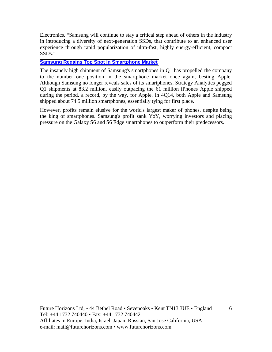Electronics. "Samsung will continue to stay a critical step ahead of others in the industry in introducing a diversity of next-generation SSDs, that contribute to an enhanced user experience through rapid popularization of ultra-fast, highly energy-efficient, compact SSDs."

#### **[Samsung Regains Top Spot In Smartphone Market](http://www.eetindia.co.in/ART_8800712067_1800005_NT_3f64e0f4.HTM)**

The insanely high shipment of Samsung's smartphones in Q1 has propelled the company to the number one position in the smartphone market once again, besting Apple. Although Samsung no longer reveals sales of its smartphones, Strategy Analytics pegged Q1 shipments at 83.2 million, easily outpacing the 61 million iPhones Apple shipped during the period, a record, by the way, for Apple. In 4Q14, both Apple and Samsung shipped about 74.5 million smartphones, essentially tying for first place.

However, profits remain elusive for the world's largest maker of phones, despite being the king of smartphones. Samsung's profit sank YoY, worrying investors and placing pressure on the Galaxy S6 and S6 Edge smartphones to outperform their predecessors.

6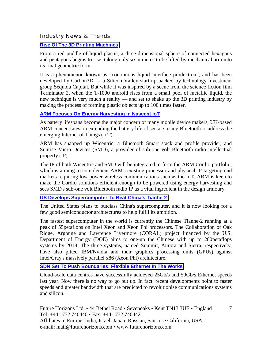#### Industry News & Trends

#### **[Rise Of The 3D Printing Machines](http://www.ft.com/cms/s/0/fc2b257a-d90f-11e4-b907-00144feab7de.html?ftcamp=crm/email/201549/nbe/AsiaMorningHeadlines/product#axzz3Xpvkmk9p)**

From a red puddle of liquid plastic, a three-dimensional sphere of connected hexagons and pentagons begins to rise, taking only six minutes to be lifted by mechanical arm into its final geometric form.

It is a phenomenon known as "continuous liquid interface production", and has been developed by Carbon3D — a Silicon Valley start-up backed by technology investment group Sequoia Capital. But while it was inspired by a scene from the science fiction film Terminator 2, when the T-1000 android rises from a small pool of metallic liquid, the new technique is very much a reality — and set to shake up the 3D printing industry by making the process of forming plastic objects up to 100 times faster.

#### **ARM Focuses On Energy Harvesting In Nascent IoT**

As battery lifespans become the major concern of many mobile device makers, UK-based ARM concentrates on extending the battery life of sensors using Bluetooth to address the emerging Internet of Things (IoT).

ARM has snapped up Wicentric, a Bluetooth Smart stack and profile provider, and Sunrise Micro Devices (SMD), a provider of sub-one volt Bluetooth radio intellectual property (IP).

The IP of both Wicentric and SMD will be integrated to form the ARM Cordio portfolio, which is aiming to complement ARM's existing processor and physical IP targeting end markets requiring low-power wireless communications such as the IoT. ARM is keen to make the Cordio solutions efficient enough to be powered using energy harvesting and sees SMD's sub-one volt Bluetooth radio IP as a vital ingredient in the design armoury.

#### **[US Develops Supercomputer To Beat China's Tianhe-2](http://www.eetindia.co.in/ART_8800711646_1800009_NT_80ee6e5b.HTM)**

The United States plans to outclass China's supercomputer, and it is now looking for a few good semiconductor architectures to help fulfil its ambition.

The fastest supercomputer in the world is currently the Chinese Tianhe-2 running at a peak of 55petaflops on Intel Xeon and Xeon Phi processors. The Collaboration of Oak Ridge, Argonne and Lawrence Livermore (CORAL) project financed by the U.S. Department of Energy (DOE) aims to one-up the Chinese with up to 200petaflops systems by 2018. The three systems, named Summit, Aurora and Sierra, respectively, have also pitted IBM/Nvidia and their graphics processing units (GPUs) against Intel/Cray's massively parallel x86 (Xeon Phi) architecture.

#### **[SDN Set To Push Boundaries: Flexible Ethernet In The Works](http://www.eetindia.co.in/ART_8800711681_1800006_NT_509c6733.HTM)**

Cloud-scale data centres have successfully achieved 25Gb/s and 50Gb/s Ethernet speeds last year. Now there is no way to go but up. In fact, recent developments point to faster speeds and greater bandwidth that are predicted to revolutionise communications systems and silicon.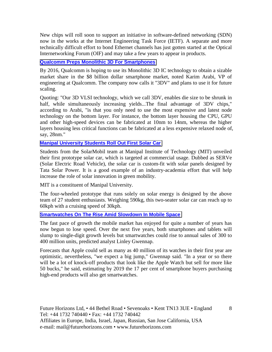New chips will roll soon to support an initiative in software-defined networking (SDN) now in the works at the Internet Engineering Task Force (IETF). A separate and more technically difficult effort to bond Ethernet channels has just gotten started at the Optical Internetworking Forum (OIF) and may take a few years to appear in products.

#### **[Qualcomm Preps Monolithic 3D For Smartphones](http://www.eetindia.co.in/ART_8800711730_1800007_NT_e5e890b2.HTM)**

By 2016, Qualcomm is hoping to use its Monolithic 3D IC technology to obtain a sizable market share in the \$8 billion dollar smartphone market, noted Karim Arabi, VP of engineering at Qualcomm. The company now calls it "3DV" and plans to use it for future scaling.

Quoting: "Our 3D VLSI technology, which we call 3DV, enables die size to be shrunk in half, while simultaneously increasing yields...The final advantage of 3DV chips," according to Arabi, "is that you only need to use the most expensive and latest node technology on the bottom layer. For instance, the bottom layer housing the CPU, GPU and other high-speed devices can be fabricated at 10nm to 14nm, whereas the higher layers housing less critical functions can be fabricated at a less expensive relaxed node of, say, 28nm."

#### **[Manipal University Students Roll Out First Solar Car](http://www.eetindia.co.in/ART_8800711846_1800008_NT_2a368dcf.HTM)**

Students from the SolarMobil team at Manipal Institute of Technology (MIT) unveiled their first prototype solar car, which is targeted at commercial usage. Dubbed as SERVe (Solar Electric Road Vehicle), the solar car is custom-fit with solar panels designed by Tata Solar Power. It is a good example of an industry-academia effort that will help increase the role of solar innovation in green mobility.

MIT is a constituent of Manipal University.

The four-wheeled prototype that runs solely on solar energy is designed by the above team of 27 student enthusiasts. Weighing 590kg, this two-seater solar car can reach up to 60kph with a cruising speed of 30kph.

#### **[Smartwatches On The Rise Amid Slowdown In Mobile Space](http://www.eetindia.co.in/ART_8800711877_1800001_NT_d50bc925.HTM)**

The fast pace of growth the mobile market has enjoyed for quite a number of years has now begun to lose speed. Over the next five years, both smartphones and tablets will slump to single-digit growth levels but smartwatches could rise to annual sales of 300 to 400 million units, predicted analyst Linley Gwennap.

Forecasts that Apple could sell as many as 40 million of its watches in their first year are optimistic, nevertheless, "we expect a big jump," Gwennap said. "In a year or so there will be a lot of knock-off products that look like the Apple Watch but sell for more like 50 bucks," he said, estimating by 2019 the 17 per cent of smartphone buyers purchasing high-end products will also get smartwatches.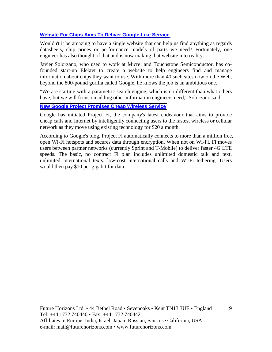#### **[Website For Chips Aims To Deliver Google-Like Service](http://www.eetindia.co.in/ART_8800712069_1800000_NT_6e2e8820.HTM?click_from=8800123200,9950114561,2015-05-04,EEIOL,ARTICLE_ALERT)**

Wouldn't it be amazing to have a single website that can help us find anything as regards datasheets, chip prices or performance models of parts we need? Fortunately, one engineer has also thought of that and is now making that website into reality.

Javier Solorzano, who used to work at Micrel and Touchstone Semiconductor, has cofounded start-up Elektet to create a website to help engineers find and manage information about chips they want to use. With more than 40 such sites now on the Web, beyond the 800-pound gorilla called Google, he knows the job is an ambitious one.

"We are starting with a parametric search engine, which is no different than what others have, but we will focus on adding other information engineers need," Solorzano said.

#### **[New Google Project Promises Cheap Wireless Service](http://www.eetindia.co.in/ART_8800712083_1800005_NT_6edb5f01.HTM?click_from=8800123207,9950114561,2015-05-05,EEIOL,ARTICLE_ALERT)**

Google has initiated Project Fi, the company's latest endeavour that aims to provide cheap calls and Internet by intelligently connecting users to the fastest wireless or cellular network as they move using existing technology for \$20 a month.

According to Google's blog, Project Fi automatically connects to more than a million free, open Wi-Fi hotspots and secures data through encryption. When not on Wi-Fi, Fi moves users between partner networks (currently Sprint and T-Mobile) to deliver faster 4G LTE speeds. The basic, no contract Fi plan includes unlimited domestic talk and text, unlimited international texts, low-cost international calls and Wi-Fi tethering. Users would then pay \$10 per gigabit for data.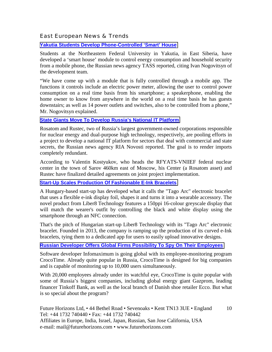#### East European News & Trends

#### **[Yakutia Students Develop Phone-Controlled 'Smart' House](http://www.marchmontnews.com/Real-Estate/Far-East/21224-Yakutia-students-develop-phone-controlled-%E2%80%98smart-house.html)**

Students at the Northeastern Federal University in Yakutia, in East Siberia, have developed a 'smart house' module to control energy consumption and household security from a mobile phone, the Russian news agency TASS reported, citing Ivan Nogovitsyn of the development team.

"We have come up with a module that is fully controlled through a mobile app. The functions it controls include an electric power meter, allowing the user to control power consumption on a real time basis from his smartphone; a speakerphone, enabling the home owner to know from anywhere in the world on a real time basis he has guests downstairs; as well as 14 power outlets and switches, also to be controlled from a phone," Mr. Nogovitsyn explained.

#### **[State Giants Move To Develop Russia's National IT Platform](http://www.marchmontnews.com/Technology-Innovation/Central-regions/21231-State-giants-move-develop-Russias-national-IT-platform.html)**

Rosatom and Rustec, two of Russia's largest government-owned corporations responsible for nuclear energy and dual-purpose high technology, respectively, are pooling efforts in a project to develop a national IT platform for sectors that deal with commercial and state secrets, the Russian news agency RIA Novosti reported. The goal is to render imports completely redundant.

According to Valentin Kostyukov, who heads the RFYATS-VNIIEF federal nuclear center in the town of Sarov 460km east of Moscow, his Center (a Rosatom asset) and Rustec have finalized detailed agreements on joint project implementation.

#### **[Start-Up Scales Production Of Fashionable E-Ink Bracelets](http://www.eetindia.co.in/ART_8800711839_1800005_NT_fc24528c.HTM)**

A Hungary-based start-up has developed what it calls the "Tago Arc" electronic bracelet that uses a flexible e-ink display foil, shapes it and turns it into a wearable accessory. The novel product from Liber8 Technology features a 150ppi 16-colour greyscale display that will match the wearer's outfit by controlling the black and white display using the smartphone through an NFC connection.

That's the pitch of Hungarian start-up Liber8 Technology with its "Tago Arc" electronic bracelet. Founded in 2013, the company is ramping up the production of its curved e-Ink bracelets, tying them to a dedicated app for users to easily upload innovative designs.

#### **[Russian Developer Offers Global Firms Possibility To Spy On Their Employees](http://rbth.co.uk/science_and_tech/2015/04/05/russian_developer_offers_global_firms_possibility_to_spy_on_45601.html)**

Software developer Infomaximum is going global with its employee-monitoring program CrocoTime. Already quite popular in Russia, CrocoTime is designed for big companies and is capable of monitoring up to 10,000 users simultaneously.

With 20,000 employees already under its watchful eye, CrocoTime is quite popular with some of Russia's biggest companies, including global energy giant Gazprom, leading financer Tinkoff Bank, as well as the local branch of Danish shoe retailer Ecco. But what is so special about the program?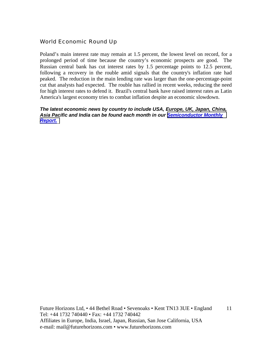#### World Economic Round Up

Poland's main interest rate may remain at 1.5 percent, the lowest level on record, for a prolonged period of time because the country's economic prospects are good. The Russian central bank has cut interest rates by 1.5 percentage points to 12.5 percent, following a recovery in the rouble amid signals that the country's inflation rate had peaked. The reduction in the main lending rate was larger than the one-percentage-point cut that analysts had expected. The rouble has rallied in recent weeks, reducing the need for high interest rates to defend it. Brazil's central bank have raised interest rates as Latin America's largest economy tries to combat inflation despite an economic slowdown.

*The latest economic news by country to include USA, Europe, UK, Japan, China, Asia Pacific and India can be found each month in our [Semiconductor Monthly](http://www.futurehorizons.com/page/18/Global-Semiconductor-Report)  [Report.](http://www.futurehorizons.com/page/18/Global-Semiconductor-Report)*